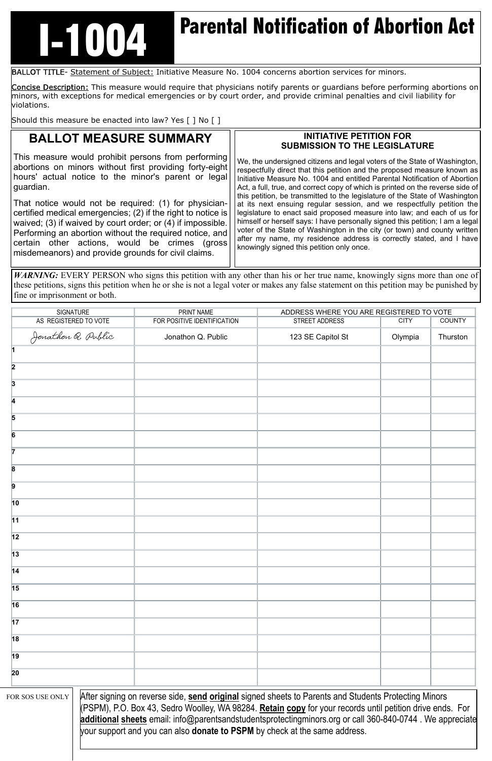## **ITTLE Parental Notification of Abortion Act**

BALLOT TITLE- Statement of Subject: Initiative Measure No. 1004 concerns abortion services for minors.

Concise Description: This measure would require that physicians notify parents or guardians before performing abortions on minors, with exceptions for medical emergencies or by court order, and provide criminal penalties and civil liability for violations.

Should this measure be enacted into law? Yes [ ] No [ ]

## **BALLOT MEASURE SUMMARY**

This measure would prohibit persons from performing abortions on minors without first providing forty-eight hours' actual notice to the minor's parent or legal guardian.

That notice would not be required: (1) for physiciancertified medical emergencies; (2) if the right to notice is waived; (3) if waived by court order; or (4) if impossible. Performing an abortion without the required notice, and certain other actions, would be crimes (gross misdemeanors) and provide grounds for civil claims.

## **INITIATIVE PETITION FOR SUBMISSION TO THE LEGISLATURE**

*WARNING*: EVERY PERSON who signs this petition with any other than his or her true name, knowingly signs more than one of these petitions, signs this petition when he or she is not a legal voter or makes any false statement on this petition may be punished by fine or imprisonment or both.

| SIGNATURE               | PRINT NAME                  | ADDRESS WHERE YOU ARE REGISTERED TO VOTE |             |               |
|-------------------------|-----------------------------|------------------------------------------|-------------|---------------|
| AS REGISTERED TO VOTE   | FOR POSITIVE IDENTIFICATION | STREET ADDRESS                           | <b>CITY</b> | <b>COUNTY</b> |
| Jonathon Q. Public      | Jonathon Q. Public          | 123 SE Capitol St                        | Olympia     | Thurston      |
| 1                       |                             |                                          |             |               |
| $\overline{\mathbf{2}}$ |                             |                                          |             |               |
| $\boldsymbol{3}$        |                             |                                          |             |               |
| 4                       |                             |                                          |             |               |
| 5                       |                             |                                          |             |               |
| 6                       |                             |                                          |             |               |
| 7                       |                             |                                          |             |               |
| $\boldsymbol{8}$        |                             |                                          |             |               |
| 9                       |                             |                                          |             |               |
| $\vert$ 10              |                             |                                          |             |               |
| $\overline{11}$         |                             |                                          |             |               |
| $\overline{12}$         |                             |                                          |             |               |
| $\overline{13}$         |                             |                                          |             |               |

We, the undersigned citizens and legal voters of the State of Washington, respectfully direct that this petition and the proposed measure known as Initiative Measure No. 1004 and entitled Parental Notification of Abortion Act, a full, true, and correct copy of which is printed on the reverse side of this petition, be transmitted to the legislature of the State of Washington at its next ensuing regular session, and we respectfully petition the legislature to enact said proposed measure into law; and each of us for himself or herself says: I have personally signed this petition; I am a legal voter of the State of Washington in the city (or town) and county written after my name, my residence address is correctly stated, and I have knowingly signed this petition only once.

| $\vert$ 14       |                                                                                                                                                                                                                                                                                                                                                                                                                    |  |  |  |  |
|------------------|--------------------------------------------------------------------------------------------------------------------------------------------------------------------------------------------------------------------------------------------------------------------------------------------------------------------------------------------------------------------------------------------------------------------|--|--|--|--|
| 15               |                                                                                                                                                                                                                                                                                                                                                                                                                    |  |  |  |  |
| 16               |                                                                                                                                                                                                                                                                                                                                                                                                                    |  |  |  |  |
| $\overline{17}$  |                                                                                                                                                                                                                                                                                                                                                                                                                    |  |  |  |  |
| 18               |                                                                                                                                                                                                                                                                                                                                                                                                                    |  |  |  |  |
| 19               |                                                                                                                                                                                                                                                                                                                                                                                                                    |  |  |  |  |
| 20               |                                                                                                                                                                                                                                                                                                                                                                                                                    |  |  |  |  |
| FOR SOS USE ONLY | After signing on reverse side, send original signed sheets to Parents and Students Protecting Minors<br>(PSPM), P.O. Box 43, Sedro Woolley, WA 98284. Retain copy for your records until petition drive ends. For<br>additional sheets email: info@parentsandstudentsprotectingminors.org or call 360-840-0744. We appreciate<br>your support and you can also <b>donate to PSPM</b> by check at the same address. |  |  |  |  |